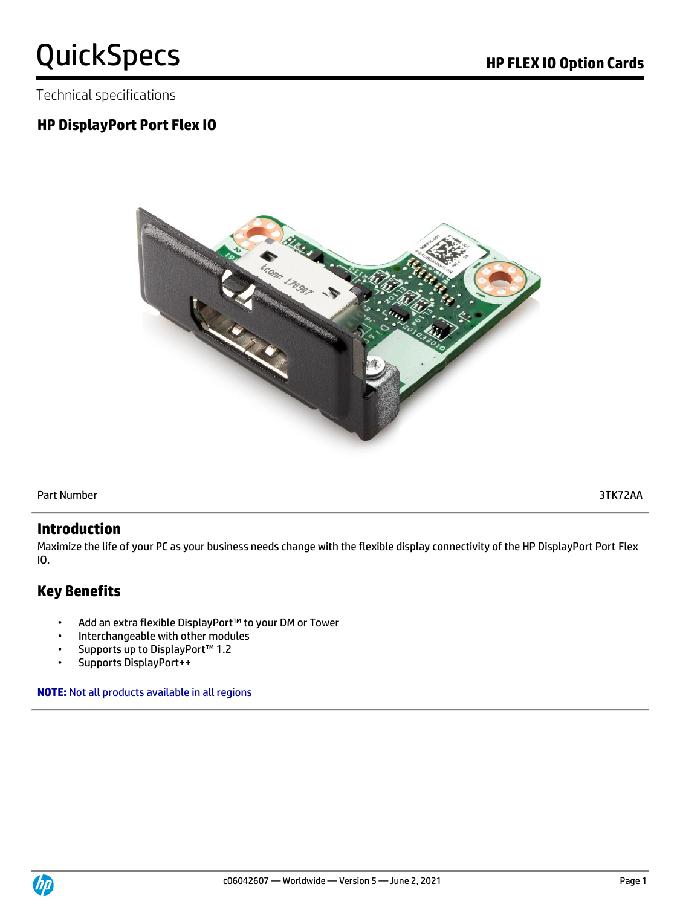Technical specifications

# **HP DisplayPort Port Flex IO**



Part Number 3TK72AA

#### **Introduction**

Maximize the life of your PC as your business needs change with the flexible display connectivity of the HP DisplayPort Port Flex IO.

# **Key Benefits**

- Add an extra flexible DisplayPort™ to your DM or Tower
- Interchangeable with other modules
- Supports up to DisplayPort™ 1.2
- Supports DisplayPort++

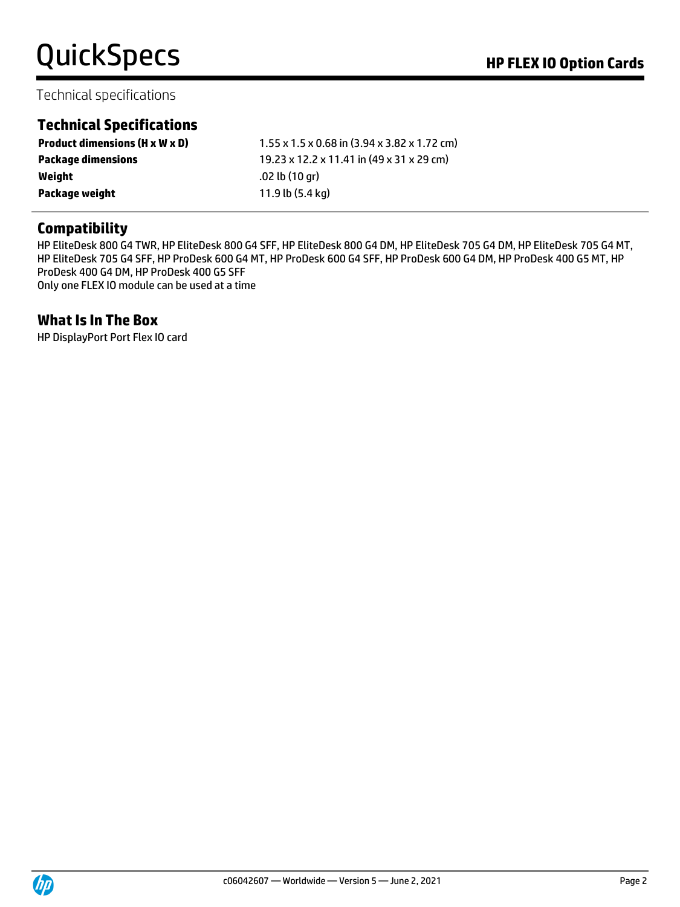# Technical specifications

# **Technical Specifications**

| $1.55 \times 1.5 \times 0.68$ in (3.94 x 3.82 x 1.72 cm) |
|----------------------------------------------------------|
| 19.23 x 12.2 x 11.41 in (49 x 31 x 29 cm)                |
| .02 lb (10 ar)                                           |
| 11.9 lb (5.4 kg)                                         |
|                                                          |

# **Compatibility**

HP EliteDesk 800 G4 TWR, HP EliteDesk 800 G4 SFF, HP EliteDesk 800 G4 DM, HP EliteDesk 705 G4 DM, HP EliteDesk 705 G4 MT, HP EliteDesk 705 G4 SFF, HP ProDesk 600 G4 MT, HP ProDesk 600 G4 SFF, HP ProDesk 600 G4 DM, HP ProDesk 400 G5 MT, HP ProDesk 400 G4 DM, HP ProDesk 400 G5 SFF Only one FLEX IO module can be used at a time

#### **What Is In The Box**

HP DisplayPort Port Flex IO card

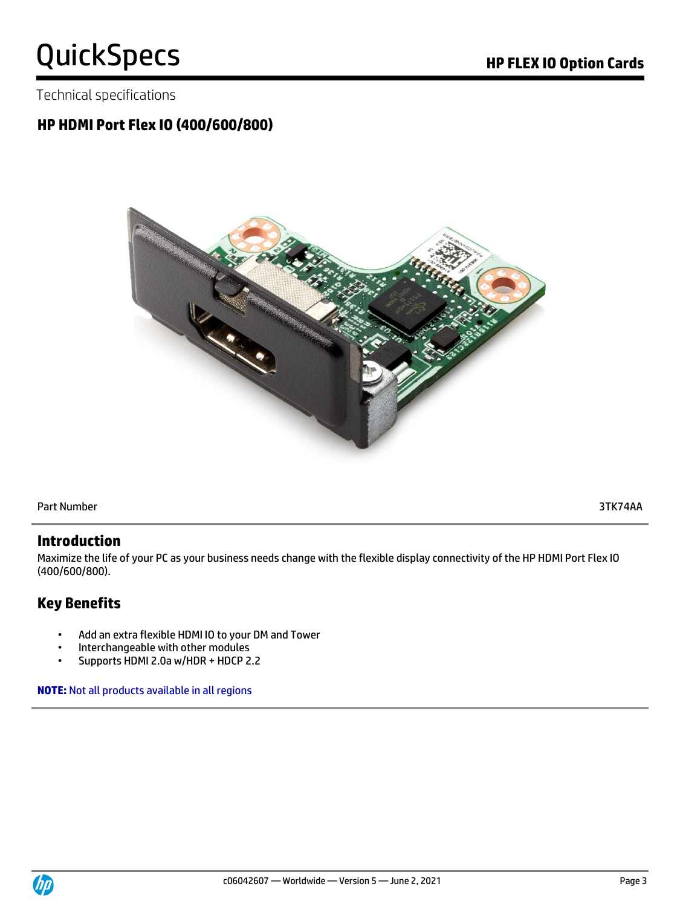Technical specifications

# **HP HDMI Port Flex IO (400/600/800)**



Part Number 3TK74AA

#### **Introduction**

Maximize the life of your PC as your business needs change with the flexible display connectivity of the HP HDMI Port Flex IO (400/600/800).

# **Key Benefits**

- Add an extra flexible HDMI IO to your DM and Tower
- Interchangeable with other modules
- Supports HDMI 2.0a w/HDR + HDCP 2.2

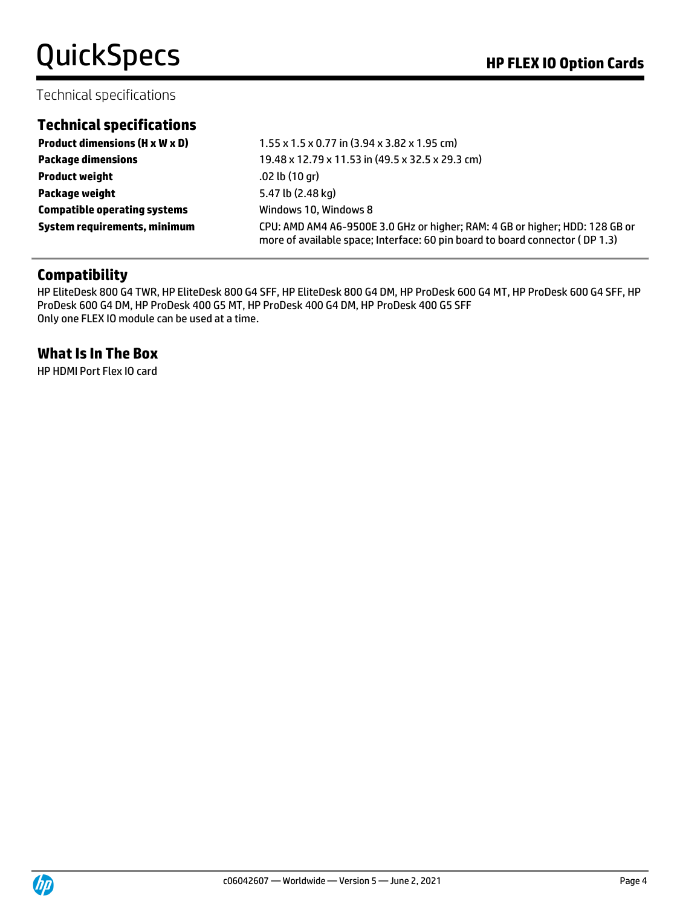#### Technical specifications

### **Technical specifications**

**Product weight** .02 lb (10 gr) **Package weight** 5.47 lb (2.48 kg) **Compatible operating systems** Windows 10, Windows 8

**Product dimensions (H x W x D)** 1.55 x 1.5 x 0.77 in (3.94 x 3.82 x 1.95 cm) **Package dimensions** 19.48 x 12.79 x 11.53 in (49.5 x 32.5 x 29.3 cm) **System requirements, minimum** CPU: AMD AM4 A6-9500E 3.0 GHz or higher; RAM: 4 GB or higher; HDD: 128 GB or more of available space; Interface: 60 pin board to board connector ( DP 1.3)

# **Compatibility**

HP EliteDesk 800 G4 TWR, HP EliteDesk 800 G4 SFF, HP EliteDesk 800 G4 DM, HP ProDesk 600 G4 MT, HP ProDesk 600 G4 SFF, HP ProDesk 600 G4 DM, HP ProDesk 400 G5 MT, HP ProDesk 400 G4 DM, HP ProDesk 400 G5 SFF Only one FLEX IO module can be used at a time.

### **What Is In The Box**

HP HDMI Port Flex IO card

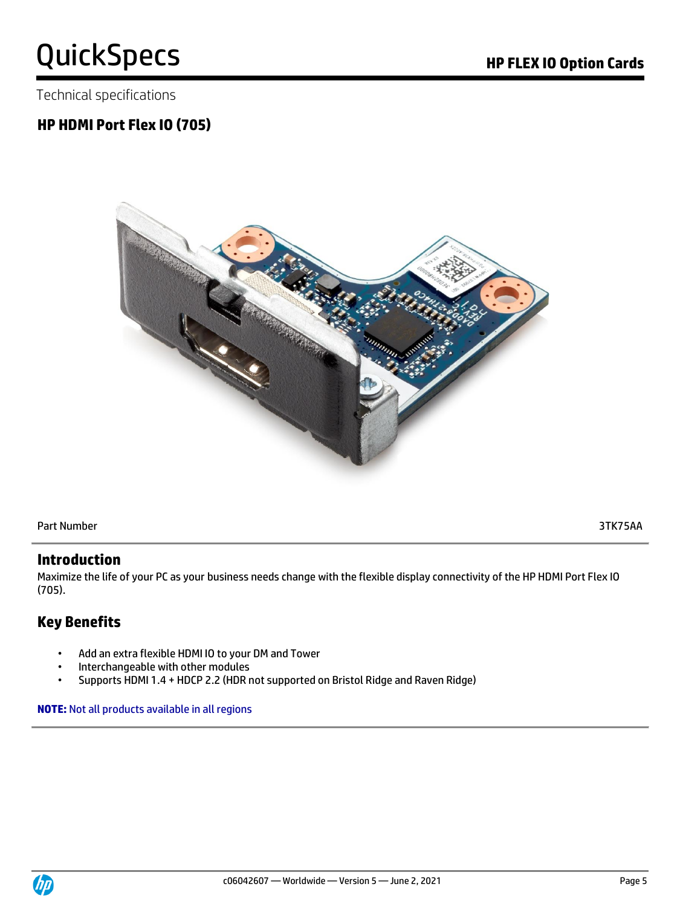Technical specifications

# **HP HDMI Port Flex IO (705)**



Part Number 3TK75AA

### **Introduction**

Maximize the life of your PC as your business needs change with the flexible display connectivity of the HP HDMI Port Flex IO (705).

# **Key Benefits**

- Add an extra flexible HDMI IO to your DM and Tower
- Interchangeable with other modules
- Supports HDMI 1.4 + HDCP 2.2 (HDR not supported on Bristol Ridge and Raven Ridge)

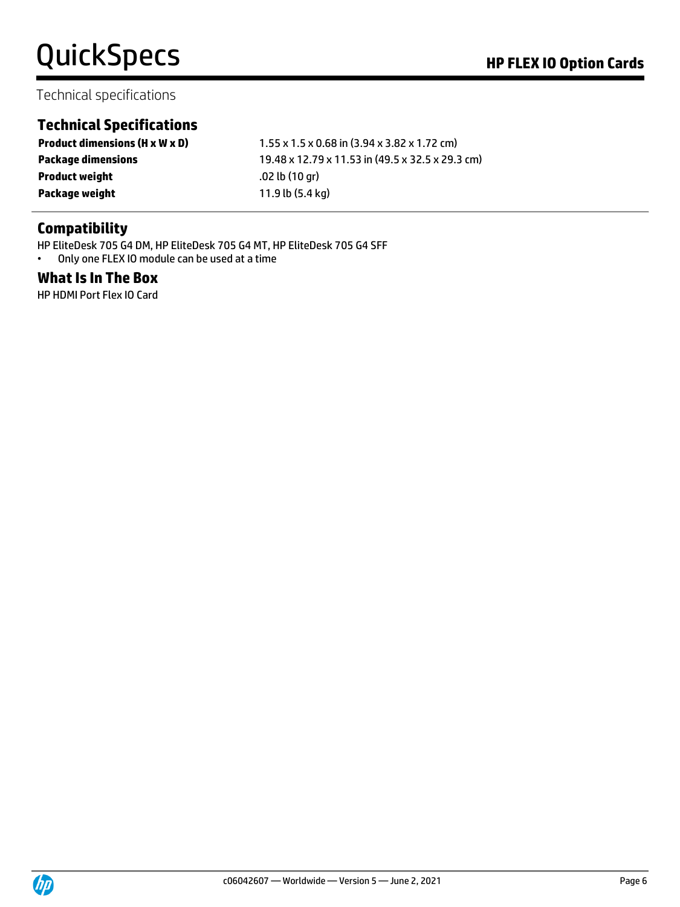### Technical specifications

# **Technical Specifications**

**Product dimensions (H x W x D)** 1.55 x 1.5 x 0.68 in (3.94 x 3.82 x 1.72 cm) **Package dimensions** 19.48 x 12.79 x 11.53 in (49.5 x 32.5 x 29.3 cm) **Product weight** .02 lb (10 gr) **Package weight** 11.9 lb (5.4 kg)

# **Compatibility**

HP EliteDesk 705 G4 DM, HP EliteDesk 705 G4 MT, HP EliteDesk 705 G4 SFF

• Only one FLEX IO module can be used at a time

### **What Is In The Box**

HP HDMI Port Flex IO Card

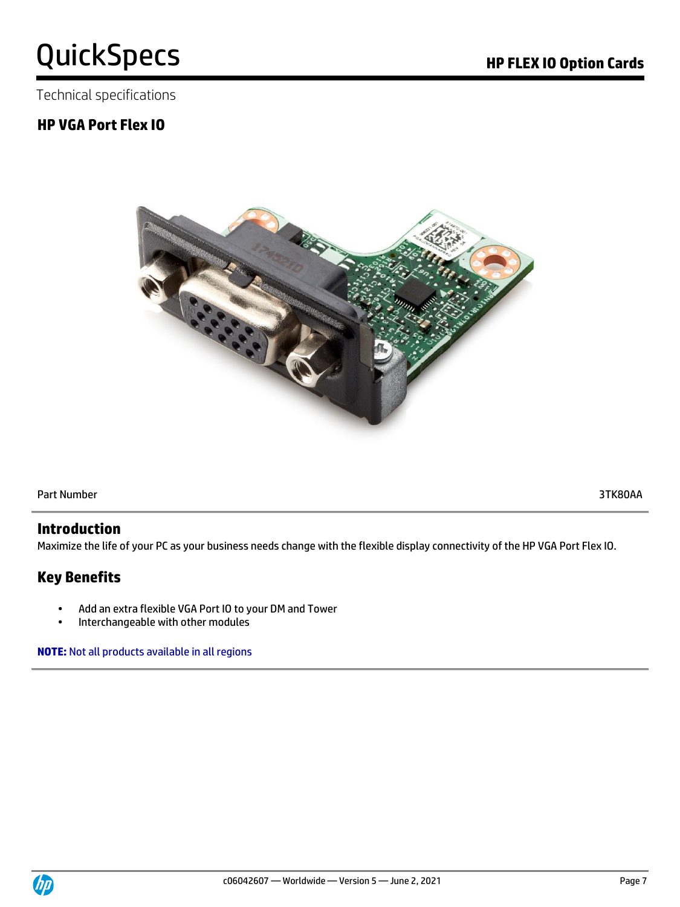Technical specifications

# **HP VGA Port Flex IO**



Part Number 3TK80AA

#### **Introduction**

Maximize the life of your PC as your business needs change with the flexible display connectivity of the HP VGA Port Flex IO.

# **Key Benefits**

- Add an extra flexible VGA Port IO to your DM and Tower
- Interchangeable with other modules

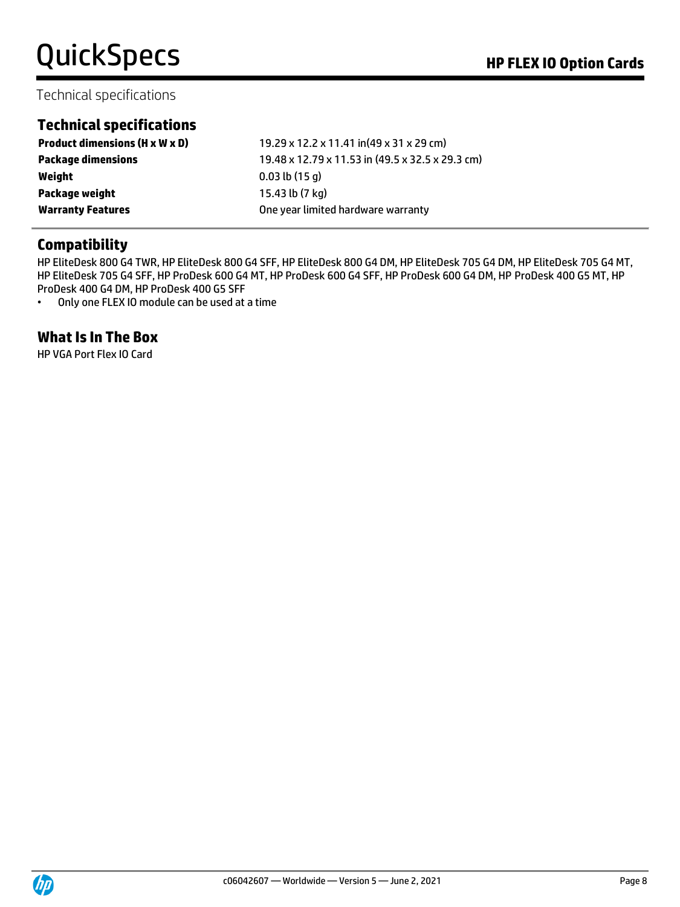# Technical specifications

# **Technical specifications**

| <b>Product dimensions (H x W x D)</b> | 19.29 x 12.2 x 11.41 in(49 x 31 x 29 cm)         |
|---------------------------------------|--------------------------------------------------|
| <b>Package dimensions</b>             | 19.48 x 12.79 x 11.53 in (49.5 x 32.5 x 29.3 cm) |
| Weight                                | $0.03$ lb $(15q)$                                |
| Package weight                        | 15.43 lb (7 kg)                                  |
| <b>Warranty Features</b>              | One year limited hardware warranty               |

### **Compatibility**

HP EliteDesk 800 G4 TWR, HP EliteDesk 800 G4 SFF, HP EliteDesk 800 G4 DM, HP EliteDesk 705 G4 DM, HP EliteDesk 705 G4 MT, HP EliteDesk 705 G4 SFF, HP ProDesk 600 G4 MT, HP ProDesk 600 G4 SFF, HP ProDesk 600 G4 DM, HP ProDesk 400 G5 MT, HP ProDesk 400 G4 DM, HP ProDesk 400 G5 SFF

• Only one FLEX IO module can be used at a time

### **What Is In The Box**

HP VGA Port Flex IO Card

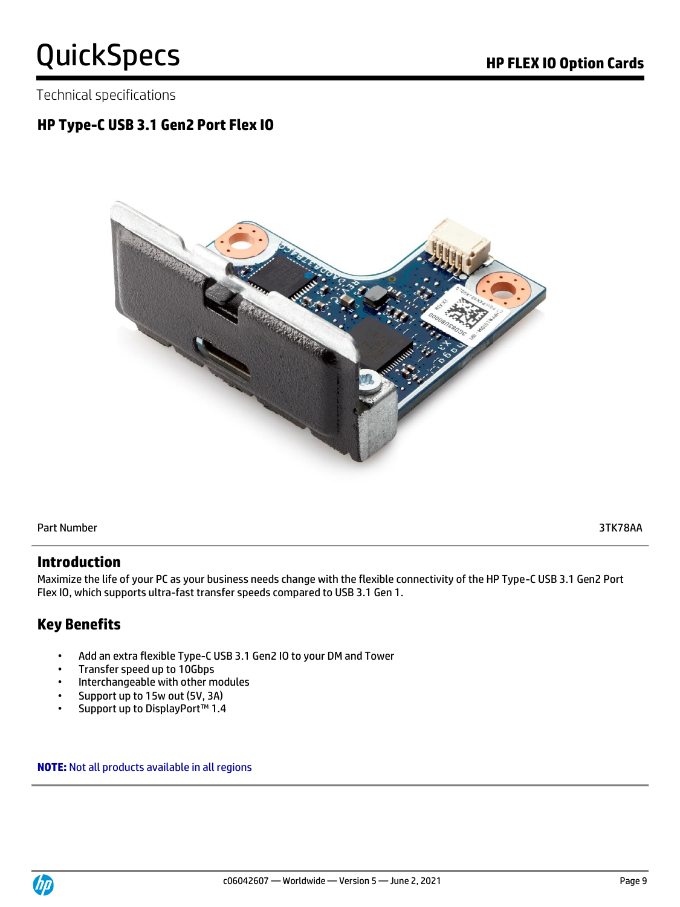Technical specifications

# **HP Type-C USB 3.1 Gen2 Port Flex IO**



Part Number 3TK78AA

#### **Introduction**

Maximize the life of your PC as your business needs change with the flexible connectivity of the HP Type-C USB 3.1 Gen2 Port Flex IO, which supports ultra-fast transfer speeds compared to USB 3.1 Gen 1.

# **Key Benefits**

- Add an extra flexible Type-C USB 3.1 Gen2 IO to your DM and Tower
- Transfer speed up to 10Gbps
- Interchangeable with other modules
- Support up to 15w out (5V, 3A)
- Support up to DisplayPort™ 1.4

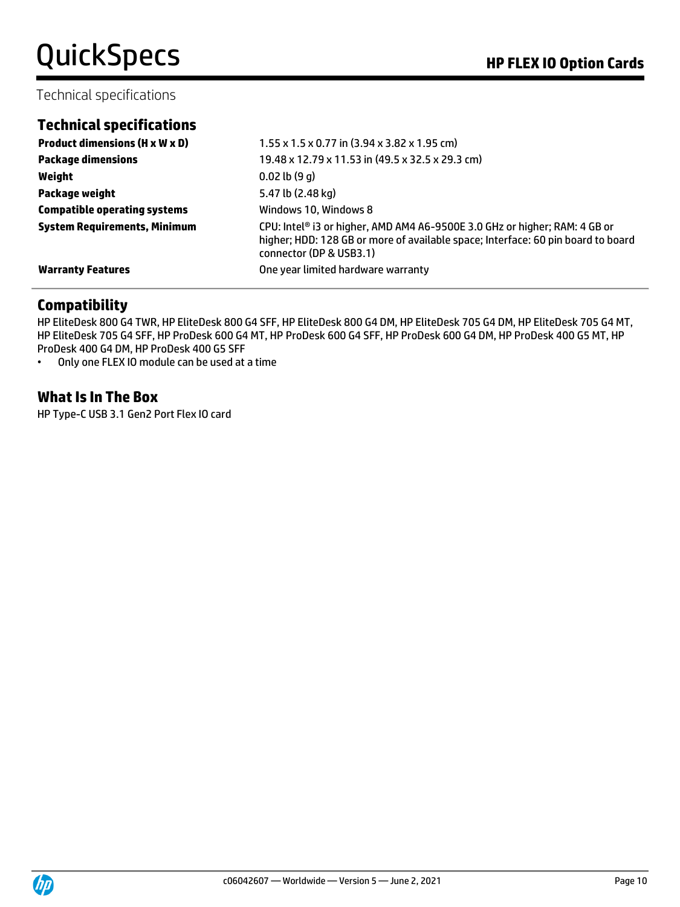### Technical specifications

|  | <b>Technical specifications</b> |  |  |  |
|--|---------------------------------|--|--|--|
|  |                                 |  |  |  |

| <b>Product dimensions (H x W x D)</b> | $1.55 \times 1.5 \times 0.77$ in (3.94 x 3.82 x 1.95 cm)                                                                                                                                  |
|---------------------------------------|-------------------------------------------------------------------------------------------------------------------------------------------------------------------------------------------|
| <b>Package dimensions</b>             | 19.48 x 12.79 x 11.53 in (49.5 x 32.5 x 29.3 cm)                                                                                                                                          |
| Weight                                | $0.02$ lb $(9q)$                                                                                                                                                                          |
| <b>Package weight</b>                 | 5.47 lb (2.48 kg)                                                                                                                                                                         |
| <b>Compatible operating systems</b>   | Windows 10, Windows 8                                                                                                                                                                     |
| <b>System Requirements, Minimum</b>   | CPU: Intel® i3 or higher, AMD AM4 A6-9500E 3.0 GHz or higher; RAM: 4 GB or<br>higher; HDD: 128 GB or more of available space; Interface: 60 pin board to board<br>connector (DP & USB3.1) |
| <b>Warranty Features</b>              | One year limited hardware warranty                                                                                                                                                        |

# **Compatibility**

HP EliteDesk 800 G4 TWR, HP EliteDesk 800 G4 SFF, HP EliteDesk 800 G4 DM, HP EliteDesk 705 G4 DM, HP EliteDesk 705 G4 MT, HP EliteDesk 705 G4 SFF, HP ProDesk 600 G4 MT, HP ProDesk 600 G4 SFF, HP ProDesk 600 G4 DM, HP ProDesk 400 G5 MT, HP ProDesk 400 G4 DM, HP ProDesk 400 G5 SFF

• Only one FLEX IO module can be used at a time

#### **What Is In The Box**

HP Type-C USB 3.1 Gen2 Port Flex IO card

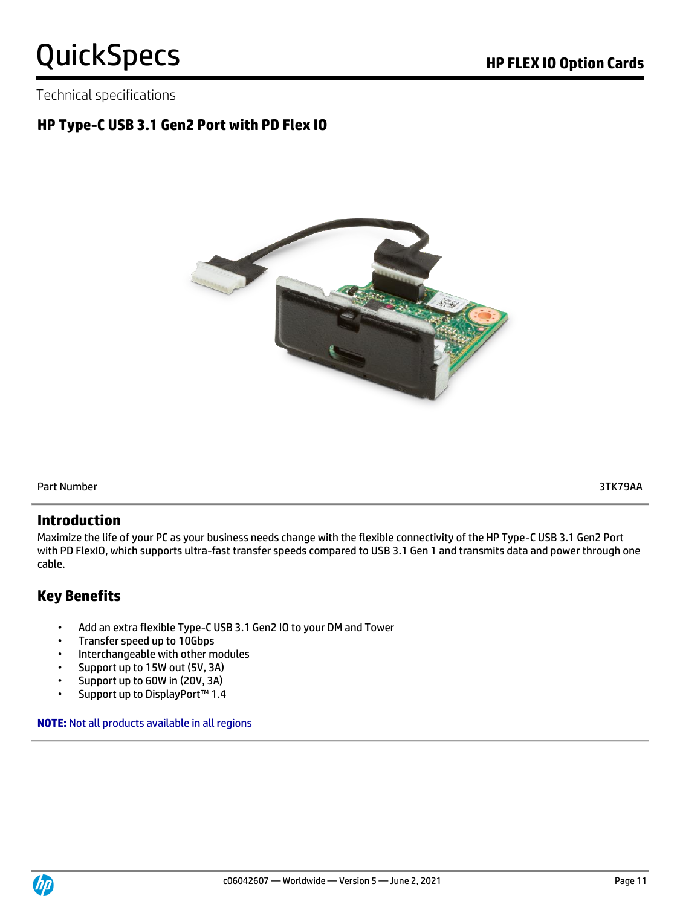Technical specifications

# **HP Type-C USB 3.1 Gen2 Port with PD Flex IO**



Part Number 3TK79AA

### **Introduction**

Maximize the life of your PC as your business needs change with the flexible connectivity of the HP Type-C USB 3.1 Gen2 Port with PD FlexIO, which supports ultra-fast transfer speeds compared to USB 3.1 Gen 1 and transmits data and power through one cable.

# **Key Benefits**

- Add an extra flexible Type-C USB 3.1 Gen2 IO to your DM and Tower
- Transfer speed up to 10Gbps
- Interchangeable with other modules
- Support up to 15W out (5V, 3A)
- Support up to 60W in (20V, 3A)
- Support up to DisplayPort™ 1.4

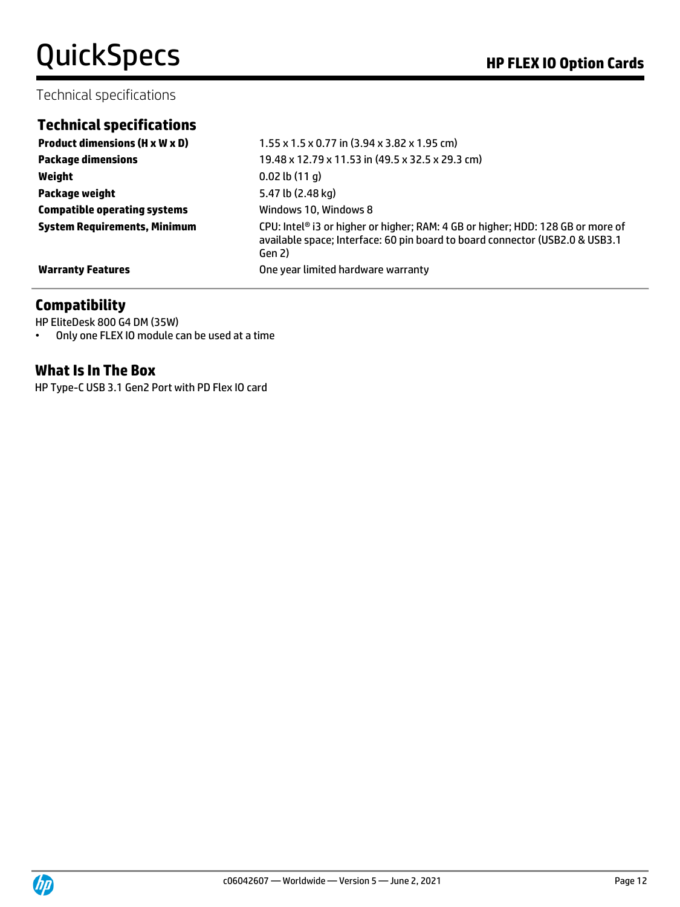### Technical specifications

## **Technical specifications**

**Weight** 0.02 lb (11 g) **Package weight** 5.47 lb (2.48 kg) **Compatible operating systems Windows 10, Windows 8** 

**Product dimensions (H x W x D)**  $1.55 \times 1.5 \times 0.77$  in (3.94 x 3.82 x 1.95 cm) **Package dimensions** 19.48 x 12.79 x 11.53 in (49.5 x 32.5 x 29.3 cm) **System Requirements, Minimum** CPU: Intel® i3 or higher or higher; RAM: 4 GB or higher; HDD: 128 GB or more of available space; Interface: 60 pin board to board connector (USB2.0 & USB3.1 Gen 2) **Warranty Features Warranty Features One year limited hardware warranty** 

### **Compatibility**

HP EliteDesk 800 G4 DM (35W) • Only one FLEX IO module can be used at a time

#### **What Is In The Box**

HP Type-C USB 3.1 Gen2 Port with PD Flex IO card

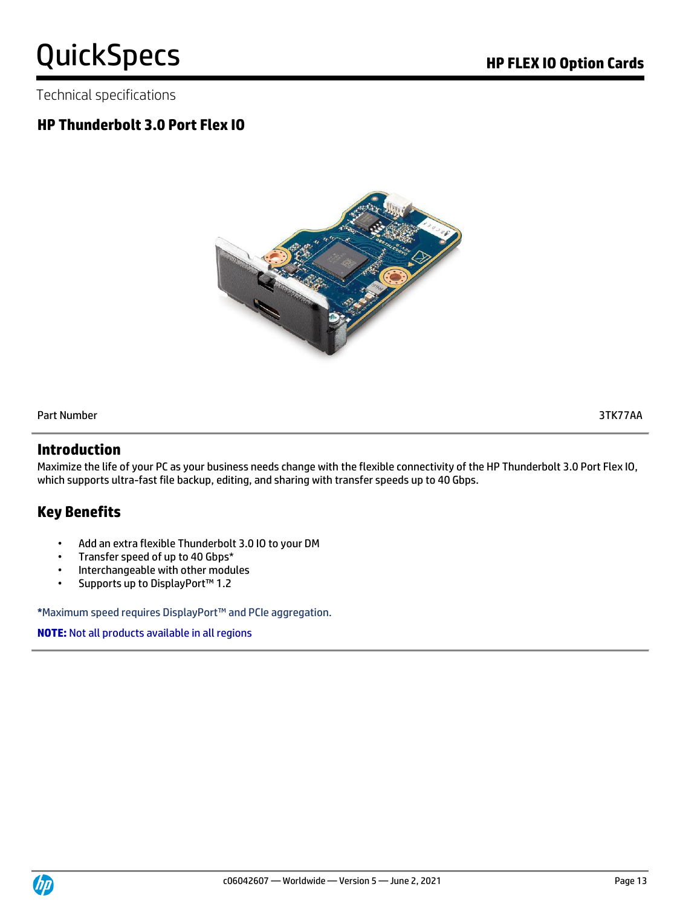Technical specifications

# **HP Thunderbolt 3.0 Port Flex IO**



Part Number 3TK77AA

#### **Introduction**

Maximize the life of your PC as your business needs change with the flexible connectivity of the HP Thunderbolt 3.0 Port Flex IO, which supports ultra-fast file backup, editing, and sharing with transfer speeds up to 40 Gbps.

# **Key Benefits**

- Add an extra flexible Thunderbolt 3.0 IO to your DM
- Transfer speed of up to 40 Gbps\*
- Interchangeable with other modules
- Supports up to DisplayPort™ 1.2

**\***Maximum speed requires DisplayPort™ and PCIe aggregation.

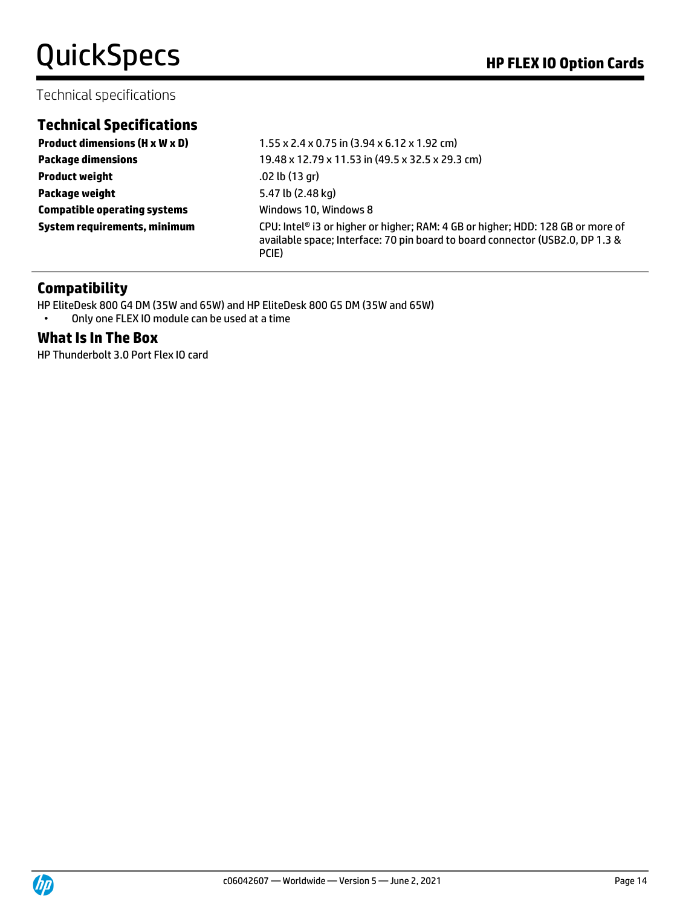#### Technical specifications

# **Technical Specifications**

**Product weight** .02 lb (13 gr) **Package weight** 5.47 lb (2.48 kg) **Compatible operating systems** Windows 10, Windows 8

**Product dimensions (H x W x D)**  $1.55 \times 2.4 \times 0.75$  in (3.94 x 6.12 x 1.92 cm) **Package dimensions** 19.48 x 12.79 x 11.53 in (49.5 x 32.5 x 29.3 cm) **System requirements, minimum** CPU: Intel® i3 or higher or higher; RAM: 4 GB or higher; HDD: 128 GB or more of available space; Interface: 70 pin board to board connector (USB2.0, DP 1.3 & PCIE)

### **Compatibility**

HP EliteDesk 800 G4 DM (35W and 65W) and HP EliteDesk 800 G5 DM (35W and 65W) • Only one FLEX IO module can be used at a time

#### **What Is In The Box**

HP Thunderbolt 3.0 Port Flex IO card

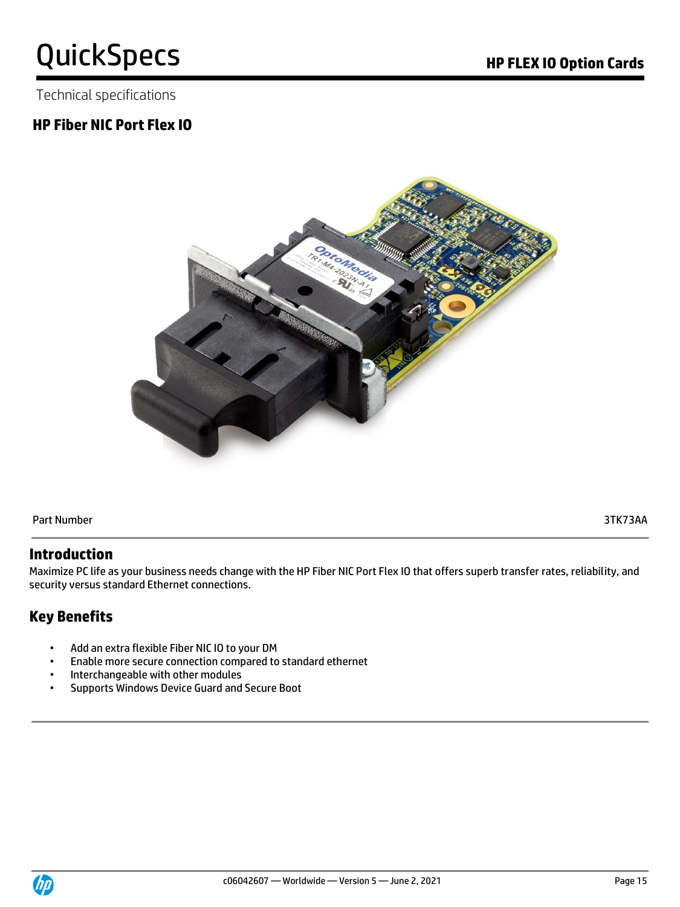Technical specifications

# **HP Fiber NIC Port Flex IO**



Part Number 3TK73AA

### **Introduction**

Maximize PC life as your business needs change with the HP Fiber NIC Port Flex IO that offers superb transfer rates, reliability, and security versus standard Ethernet connections.

# **Key Benefits**

- Add an extra flexible Fiber NIC IO to your DM
- Enable more secure connection compared to standard ethernet
- Interchangeable with other modules
- Supports Windows Device Guard and Secure Boot

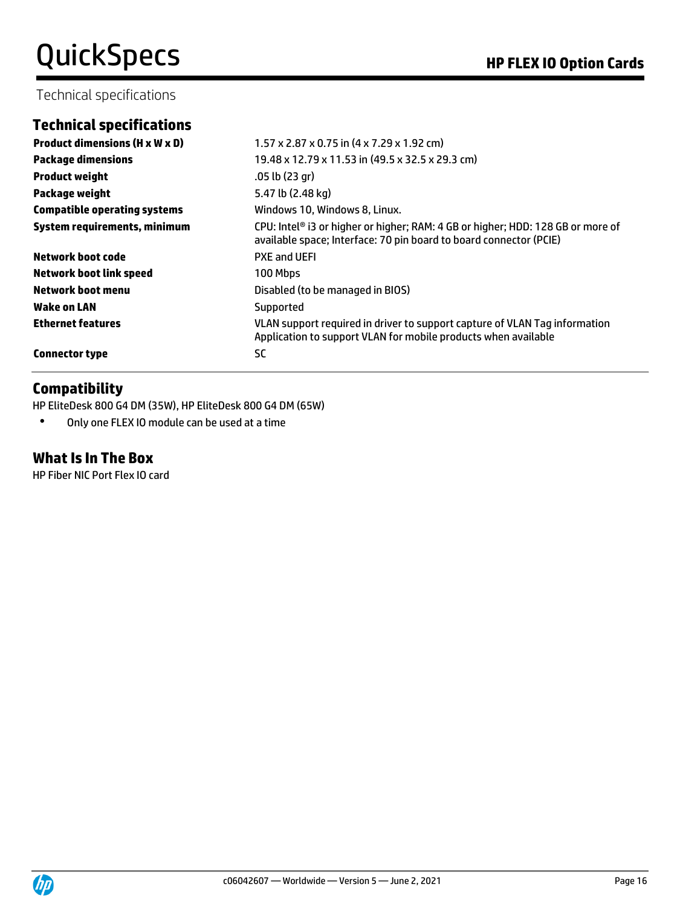### Technical specifications

# **Technical specifications**

| <b>Product dimensions (H x W x D)</b> | $1.57 \times 2.87 \times 0.75$ in $(4 \times 7.29 \times 1.92$ cm)                                                                                    |
|---------------------------------------|-------------------------------------------------------------------------------------------------------------------------------------------------------|
| <b>Package dimensions</b>             | 19.48 x 12.79 x 11.53 in (49.5 x 32.5 x 29.3 cm)                                                                                                      |
| <b>Product weight</b>                 | .05 lb (23 gr)                                                                                                                                        |
| Package weight                        | 5.47 lb (2.48 kg)                                                                                                                                     |
| <b>Compatible operating systems</b>   | Windows 10, Windows 8, Linux.                                                                                                                         |
| System requirements, minimum          | CPU: Intel® i3 or higher or higher; RAM: 4 GB or higher; HDD: 128 GB or more of<br>available space; Interface: 70 pin board to board connector (PCIE) |
| Network boot code                     | <b>PXE and UEFI</b>                                                                                                                                   |
| <b>Network boot link speed</b>        | 100 Mbps                                                                                                                                              |
| Network boot menu                     | Disabled (to be managed in BIOS)                                                                                                                      |
| Wake on LAN                           | Supported                                                                                                                                             |
| <b>Ethernet features</b>              | VLAN support required in driver to support capture of VLAN Tag information<br>Application to support VLAN for mobile products when available          |
| <b>Connector type</b>                 | <b>SC</b>                                                                                                                                             |

### **Compatibility**

HP EliteDesk 800 G4 DM (35W), HP EliteDesk 800 G4 DM (65W)

• Only one FLEX IO module can be used at a time

# **What Is In The Box**

HP Fiber NIC Port Flex IO card

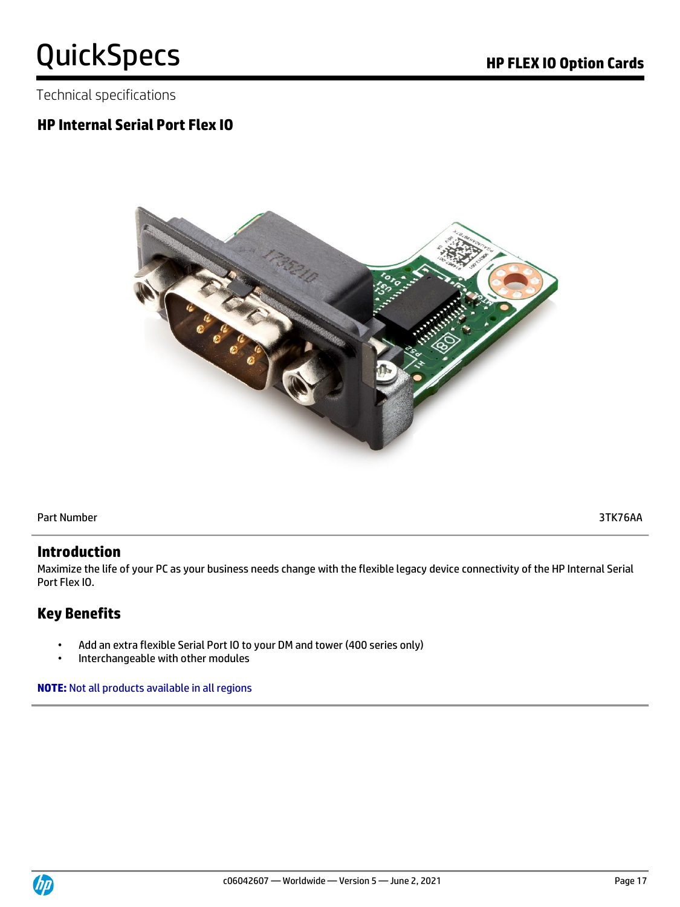Technical specifications

# **HP Internal Serial Port Flex IO**



Part Number 3TK76AA

#### **Introduction**

Maximize the life of your PC as your business needs change with the flexible legacy device connectivity of the HP Internal Serial Port Flex IO.

# **Key Benefits**

- Add an extra flexible Serial Port IO to your DM and tower (400 series only)
- Interchangeable with other modules

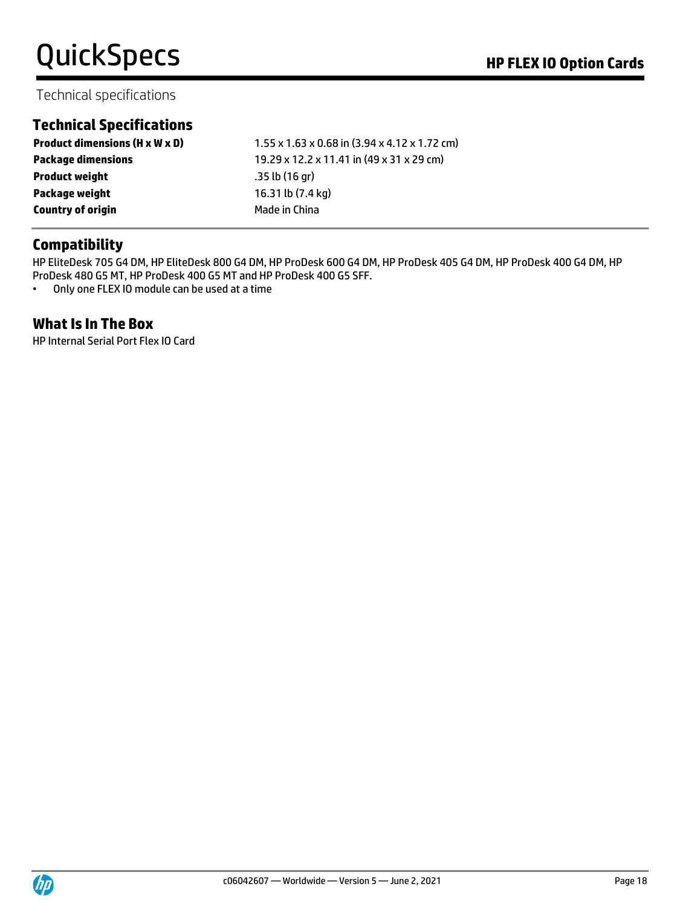# Technical specifications

# **Technical Specifications**

| <b>Product dimensions (H x W x D)</b> | $1.55 \times 1.63 \times 0.68$ in $(3.94 \times 4.12 \times 1.72$ cm) |
|---------------------------------------|-----------------------------------------------------------------------|
| <b>Package dimensions</b>             | 19.29 x 12.2 x 11.41 in (49 x 31 x 29 cm)                             |
| <b>Product weight</b>                 | .35 lb(16 gr)                                                         |
| Package weight                        | 16.31 lb (7.4 kg)                                                     |
| <b>Country of origin</b>              | Made in China                                                         |

### **Compatibility**

HP EliteDesk 705 G4 DM, HP EliteDesk 800 G4 DM, HP ProDesk 600 G4 DM, HP ProDesk 405 G4 DM, HP ProDesk 400 G4 DM, HP ProDesk 480 G5 MT, HP ProDesk 400 G5 MT and HP ProDesk 400 G5 SFF.

• Only one FLEX IO module can be used at a time

### **What Is In The Box**

HP Internal Serial Port Flex IO Card